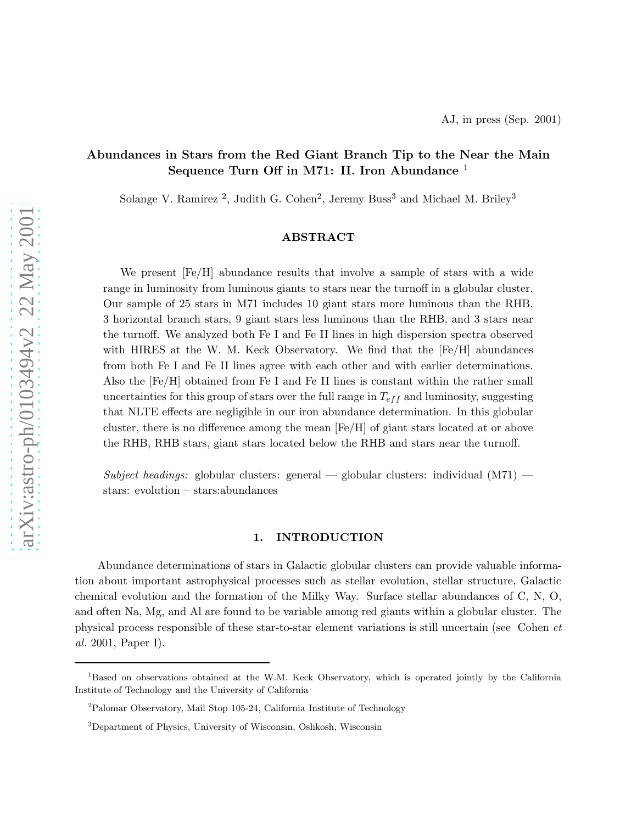# Abundances in Stars from the Red Giant Branch Tip to the Near the Main Sequence Turn Off in M71: II. Iron Abundance  $<sup>1</sup>$ </sup>

Solange V. Ramírez<sup>2</sup>, Judith G. Cohen<sup>2</sup>, Jeremy Buss<sup>3</sup> and Michael M. Briley<sup>3</sup>

# ABSTRACT

We present [Fe/H] abundance results that involve a sample of stars with a wide range in luminosity from luminous giants to stars near the turnoff in a globular cluster. Our sample of 25 stars in M71 includes 10 giant stars more luminous than the RHB, 3 horizontal branch stars, 9 giant stars less luminous than the RHB, and 3 stars near the turnoff. We analyzed both Fe I and Fe II lines in high dispersion spectra observed with HIRES at the W. M. Keck Observatory. We find that the  $[Fe/H]$  abundances from both Fe I and Fe II lines agree with each other and with earlier determinations. Also the [Fe/H] obtained from Fe I and Fe II lines is constant within the rather small uncertainties for this group of stars over the full range in  $T_{eff}$  and luminosity, suggesting that NLTE effects are negligible in our iron abundance determination. In this globular cluster, there is no difference among the mean [Fe/H] of giant stars located at or above the RHB, RHB stars, giant stars located below the RHB and stars near the turnoff.

*Subject headings:* globular clusters: general — globular clusters: individual (M71) stars: evolution – stars:abundances

# 1. INTRODUCTION

Abundance determinations of stars in Galactic globular clusters can provide valuable information about important astrophysical processes such as stellar evolution, stellar structure, Galactic chemical evolution and the formation of the Milky Way. Surface stellar abundances of C, N, O, and often Na, Mg, and Al are found to be variable among red giants within a globular cluster. The physical process responsible of these star-to-star element variations is still uncertain (see Cohen *et al.* 2001, Paper I).

<sup>&</sup>lt;sup>1</sup>Based on observations obtained at the W.M. Keck Observatory, which is operated jointly by the California Institute of Technology and the University of California

<sup>2</sup>Palomar Observatory, Mail Stop 105-24, California Institute of Technology

<sup>3</sup>Department of Physics, University of Wisconsin, Oshkosh, Wisconsin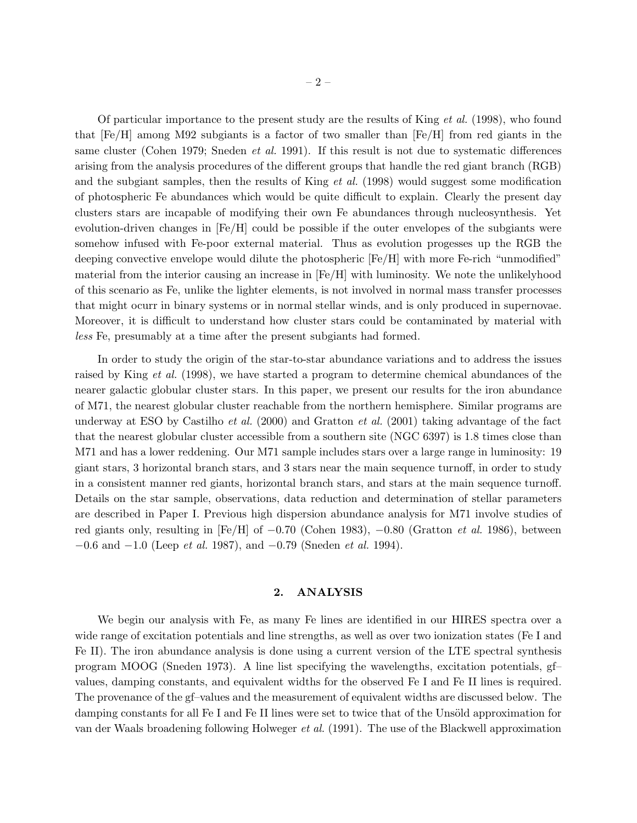Of particular importance to the present study are the results of King *et al.* (1998), who found that  $[Fe/H]$  among M92 subgiants is a factor of two smaller than  $[Fe/H]$  from red giants in the same cluster (Cohen 1979; Sneden *et al.* 1991). If this result is not due to systematic differences arising from the analysis procedures of the different groups that handle the red giant branch (RGB) and the subgiant samples, then the results of King *et al.* (1998) would suggest some modification of photospheric Fe abundances which would be quite difficult to explain. Clearly the present day clusters stars are incapable of modifying their own Fe abundances through nucleosynthesis. Yet evolution-driven changes in [Fe/H] could be possible if the outer envelopes of the subgiants were somehow infused with Fe-poor external material. Thus as evolution progesses up the RGB the deeping convective envelope would dilute the photospheric [Fe/H] with more Fe-rich "unmodified" material from the interior causing an increase in [Fe/H] with luminosity. We note the unlikelyhood of this scenario as Fe, unlike the lighter elements, is not involved in normal mass transfer processes that might ocurr in binary systems or in normal stellar winds, and is only produced in supernovae. Moreover, it is difficult to understand how cluster stars could be contaminated by material with *less* Fe, presumably at a time after the present subgiants had formed.

In order to study the origin of the star-to-star abundance variations and to address the issues raised by King *et al.* (1998), we have started a program to determine chemical abundances of the nearer galactic globular cluster stars. In this paper, we present our results for the iron abundance of M71, the nearest globular cluster reachable from the northern hemisphere. Similar programs are underway at ESO by Castilho *et al.* (2000) and Gratton *et al.* (2001) taking advantage of the fact that the nearest globular cluster accessible from a southern site (NGC 6397) is 1.8 times close than M71 and has a lower reddening. Our M71 sample includes stars over a large range in luminosity: 19 giant stars, 3 horizontal branch stars, and 3 stars near the main sequence turnoff, in order to study in a consistent manner red giants, horizontal branch stars, and stars at the main sequence turnoff. Details on the star sample, observations, data reduction and determination of stellar parameters are described in Paper I. Previous high dispersion abundance analysis for M71 involve studies of red giants only, resulting in [Fe/H] of −0.70 (Cohen 1983), −0.80 (Gratton *et al.* 1986), between −0.6 and −1.0 (Leep *et al.* 1987), and −0.79 (Sneden *et al.* 1994).

### 2. ANALYSIS

We begin our analysis with Fe, as many Fe lines are identified in our HIRES spectra over a wide range of excitation potentials and line strengths, as well as over two ionization states (Fe I and Fe II). The iron abundance analysis is done using a current version of the LTE spectral synthesis program MOOG (Sneden 1973). A line list specifying the wavelengths, excitation potentials, gf– values, damping constants, and equivalent widths for the observed Fe I and Fe II lines is required. The provenance of the gf–values and the measurement of equivalent widths are discussed below. The damping constants for all Fe I and Fe II lines were set to twice that of the Unsöld approximation for van der Waals broadening following Holweger *et al.* (1991). The use of the Blackwell approximation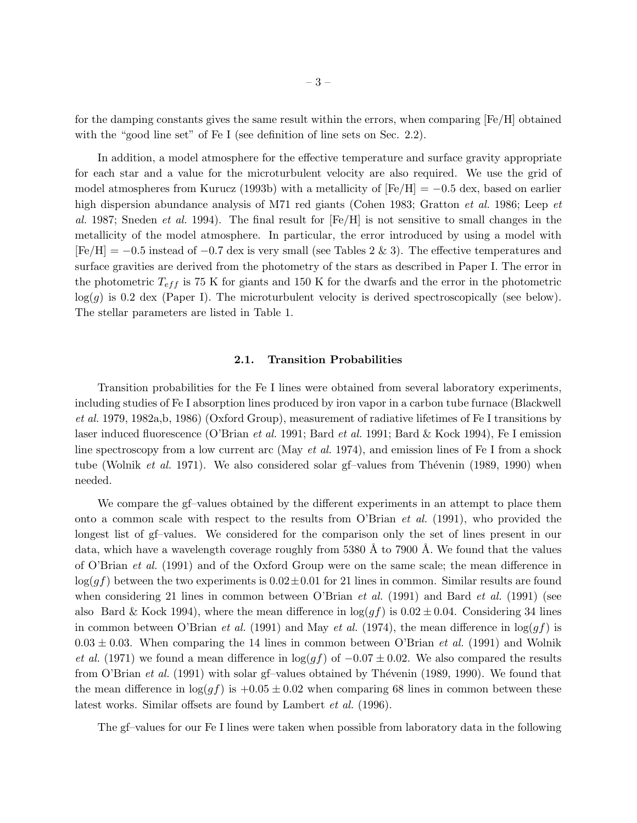for the damping constants gives the same result within the errors, when comparing [Fe/H] obtained with the "good line set" of Fe I (see definition of line sets on Sec. 2.2).

In addition, a model atmosphere for the effective temperature and surface gravity appropriate for each star and a value for the microturbulent velocity are also required. We use the grid of model atmospheres from Kurucz (1993b) with a metallicity of  $[Fe/H] = -0.5$  dex, based on earlier high dispersion abundance analysis of M71 red giants (Cohen 1983; Gratton *et al.* 1986; Leep *et al.* 1987; Sneden *et al.* 1994). The final result for [Fe/H] is not sensitive to small changes in the metallicity of the model atmosphere. In particular, the error introduced by using a model with  $[Fe/H] = -0.5$  instead of  $-0.7$  dex is very small (see Tables 2 & 3). The effective temperatures and surface gravities are derived from the photometry of the stars as described in Paper I. The error in the photometric  $T_{eff}$  is 75 K for giants and 150 K for the dwarfs and the error in the photometric  $log(g)$  is 0.2 dex (Paper I). The microturbulent velocity is derived spectroscopically (see below). The stellar parameters are listed in Table 1.

# 2.1. Transition Probabilities

Transition probabilities for the Fe I lines were obtained from several laboratory experiments, including studies of Fe I absorption lines produced by iron vapor in a carbon tube furnace (Blackwell *et al.* 1979, 1982a,b, 1986) (Oxford Group), measurement of radiative lifetimes of Fe I transitions by laser induced fluorescence (O'Brian *et al.* 1991; Bard *et al.* 1991; Bard & Kock 1994), Fe I emission line spectroscopy from a low current arc (May *et al.* 1974), and emission lines of Fe I from a shock tube (Wolnik *et al.* 1971). We also considered solar gf-values from Thévenin (1989, 1990) when needed.

We compare the gf–values obtained by the different experiments in an attempt to place them onto a common scale with respect to the results from O'Brian *et al.* (1991), who provided the longest list of gf–values. We considered for the comparison only the set of lines present in our data, which have a wavelength coverage roughly from  $5380 \text{ Å}$  to  $7900 \text{ Å}$ . We found that the values of O'Brian *et al.* (1991) and of the Oxford Group were on the same scale; the mean difference in  $\log(gf)$  between the two experiments is  $0.02 \pm 0.01$  for 21 lines in common. Similar results are found when considering 21 lines in common between O'Brian *et al.* (1991) and Bard *et al.* (1991) (see also Bard & Kock 1994), where the mean difference in  $\log(gf)$  is  $0.02 \pm 0.04$ . Considering 34 lines in common between O'Brian *et al.* (1991) and May *et al.* (1974), the mean difference in  $\log(gf)$  is  $0.03 \pm 0.03$ . When comparing the 14 lines in common between O'Brian *et al.* (1991) and Wolnik *et al.* (1971) we found a mean difference in  $\log(qf)$  of  $-0.07 \pm 0.02$ . We also compared the results from O'Brian *et al.* (1991) with solar gf-values obtained by Thévenin (1989, 1990). We found that the mean difference in  $\log(qf)$  is  $+0.05 \pm 0.02$  when comparing 68 lines in common between these latest works. Similar offsets are found by Lambert *et al.* (1996).

The gf–values for our Fe I lines were taken when possible from laboratory data in the following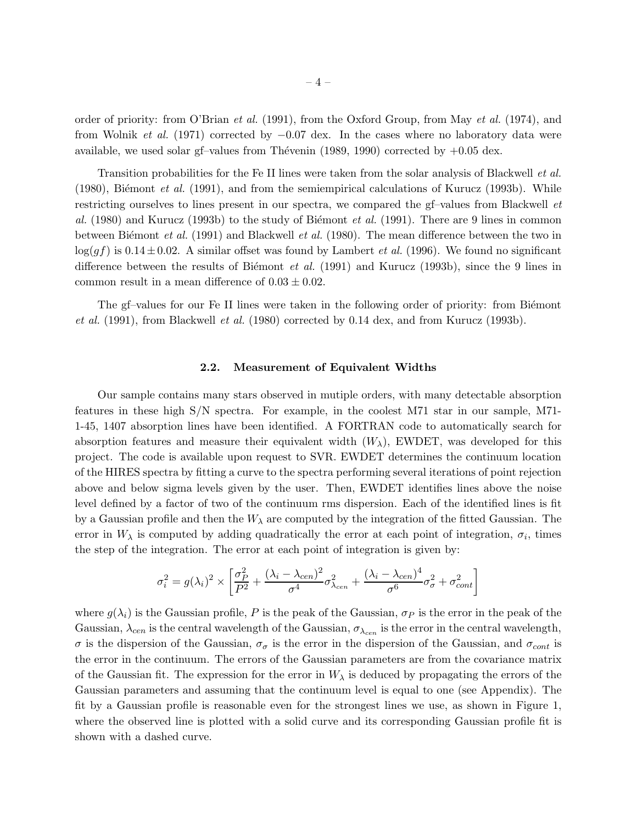order of priority: from O'Brian *et al.* (1991), from the Oxford Group, from May *et al.* (1974), and from Wolnik *et al.* (1971) corrected by −0.07 dex. In the cases where no laboratory data were available, we used solar gf–values from Thévenin  $(1989, 1990)$  corrected by  $+0.05$  dex.

Transition probabilities for the Fe II lines were taken from the solar analysis of Blackwell *et al.* (1980), Biémont *et al.* (1991), and from the semiempirical calculations of Kurucz (1993b). While restricting ourselves to lines present in our spectra, we compared the gf–values from Blackwell *et al.* (1980) and Kurucz (1993b) to the study of Biémont *et al.* (1991). There are 9 lines in common between Biemont *et al.* (1991) and Blackwell *et al.* (1980). The mean difference between the two in  $log(gf)$  is 0.14 $\pm$ 0.02. A similar offset was found by Lambert *et al.* (1996). We found no significant difference between the results of Biémont *et al.* (1991) and Kurucz (1993b), since the 9 lines in common result in a mean difference of  $0.03 \pm 0.02$ .

The gf-values for our Fe II lines were taken in the following order of priority: from Biemont *et al.* (1991), from Blackwell *et al.* (1980) corrected by 0.14 dex, and from Kurucz (1993b).

## 2.2. Measurement of Equivalent Widths

Our sample contains many stars observed in mutiple orders, with many detectable absorption features in these high S/N spectra. For example, in the coolest M71 star in our sample, M71- 1-45, 1407 absorption lines have been identified. A FORTRAN code to automatically search for absorption features and measure their equivalent width  $(W_\lambda)$ , EWDET, was developed for this project. The code is available upon request to SVR. EWDET determines the continuum location of the HIRES spectra by fitting a curve to the spectra performing several iterations of point rejection above and below sigma levels given by the user. Then, EWDET identifies lines above the noise level defined by a factor of two of the continuum rms dispersion. Each of the identified lines is fit by a Gaussian profile and then the  $W_{\lambda}$  are computed by the integration of the fitted Gaussian. The error in  $W_{\lambda}$  is computed by adding quadratically the error at each point of integration,  $\sigma_i$ , times the step of the integration. The error at each point of integration is given by:

$$
\sigma_i^2 = g(\lambda_i)^2 \times \left[ \frac{\sigma_P^2}{P^2} + \frac{(\lambda_i - \lambda_{cen})^2}{\sigma^4} \sigma_{\lambda_{cen}}^2 + \frac{(\lambda_i - \lambda_{cen})^4}{\sigma^6} \sigma_{\sigma}^2 + \sigma_{cont}^2 \right]
$$

where  $g(\lambda_i)$  is the Gaussian profile, P is the peak of the Gaussian,  $\sigma_P$  is the error in the peak of the Gaussian,  $\lambda_{cen}$  is the central wavelength of the Gaussian,  $\sigma_{\lambda_{cen}}$  is the error in the central wavelength,  $\sigma$  is the dispersion of the Gaussian,  $\sigma_{\sigma}$  is the error in the dispersion of the Gaussian, and  $\sigma_{cont}$  is the error in the continuum. The errors of the Gaussian parameters are from the covariance matrix of the Gaussian fit. The expression for the error in  $W_{\lambda}$  is deduced by propagating the errors of the Gaussian parameters and assuming that the continuum level is equal to one (see Appendix). The fit by a Gaussian profile is reasonable even for the strongest lines we use, as shown in Figure 1, where the observed line is plotted with a solid curve and its corresponding Gaussian profile fit is shown with a dashed curve.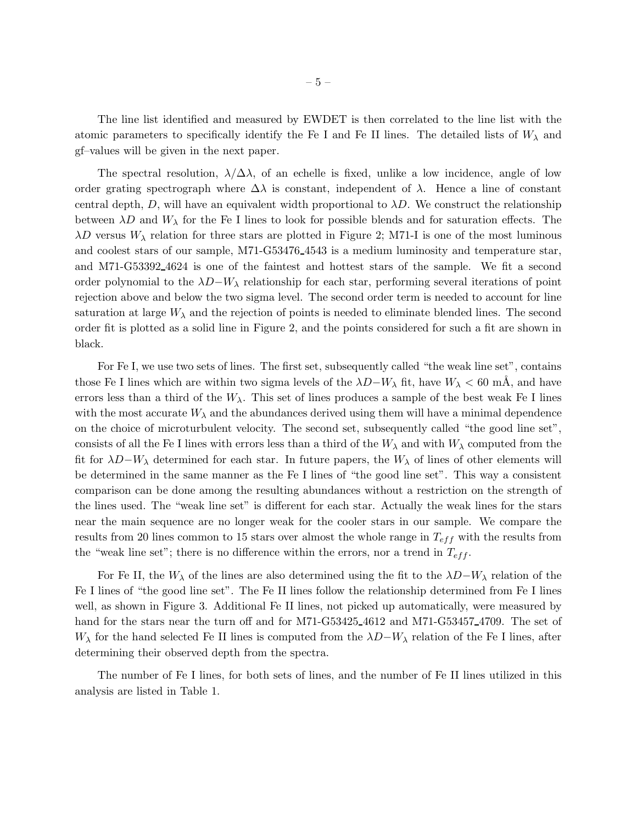The line list identified and measured by EWDET is then correlated to the line list with the atomic parameters to specifically identify the Fe I and Fe II lines. The detailed lists of  $W_{\lambda}$  and gf–values will be given in the next paper.

The spectral resolution,  $\lambda/\Delta\lambda$ , of an echelle is fixed, unlike a low incidence, angle of low order grating spectrograph where  $\Delta\lambda$  is constant, independent of  $\lambda$ . Hence a line of constant central depth, D, will have an equivalent width proportional to  $\lambda D$ . We construct the relationship between  $\lambda D$  and  $W_{\lambda}$  for the Fe I lines to look for possible blends and for saturation effects. The  $\lambda D$  versus  $W_{\lambda}$  relation for three stars are plotted in Figure 2; M71-I is one of the most luminous and coolest stars of our sample, M71-G53476 4543 is a medium luminosity and temperature star, and M71-G53392 4624 is one of the faintest and hottest stars of the sample. We fit a second order polynomial to the  $\lambda D-W_{\lambda}$  relationship for each star, performing several iterations of point rejection above and below the two sigma level. The second order term is needed to account for line saturation at large  $W_{\lambda}$  and the rejection of points is needed to eliminate blended lines. The second order fit is plotted as a solid line in Figure 2, and the points considered for such a fit are shown in black.

For Fe I, we use two sets of lines. The first set, subsequently called "the weak line set", contains those Fe I lines which are within two sigma levels of the  $\lambda D-W_\lambda$  fit, have  $W_\lambda < 60$  mÅ, and have errors less than a third of the  $W_{\lambda}$ . This set of lines produces a sample of the best weak Fe I lines with the most accurate  $W_{\lambda}$  and the abundances derived using them will have a minimal dependence on the choice of microturbulent velocity. The second set, subsequently called "the good line set", consists of all the Fe I lines with errors less than a third of the  $W_{\lambda}$  and with  $W_{\lambda}$  computed from the fit for  $\lambda D-W_\lambda$  determined for each star. In future papers, the  $W_\lambda$  of lines of other elements will be determined in the same manner as the Fe I lines of "the good line set". This way a consistent comparison can be done among the resulting abundances without a restriction on the strength of the lines used. The "weak line set" is different for each star. Actually the weak lines for the stars near the main sequence are no longer weak for the cooler stars in our sample. We compare the results from 20 lines common to 15 stars over almost the whole range in  $T_{eff}$  with the results from the "weak line set"; there is no difference within the errors, nor a trend in  $T_{eff}$ .

For Fe II, the  $W_{\lambda}$  of the lines are also determined using the fit to the  $\lambda D-W_{\lambda}$  relation of the Fe I lines of "the good line set". The Fe II lines follow the relationship determined from Fe I lines well, as shown in Figure 3. Additional Fe II lines, not picked up automatically, were measured by hand for the stars near the turn off and for M71-G53425 4612 and M71-G53457 4709. The set of W<sub> $\lambda$ </sub> for the hand selected Fe II lines is computed from the  $\lambda D-W_\lambda$  relation of the Fe I lines, after determining their observed depth from the spectra.

The number of Fe I lines, for both sets of lines, and the number of Fe II lines utilized in this analysis are listed in Table 1.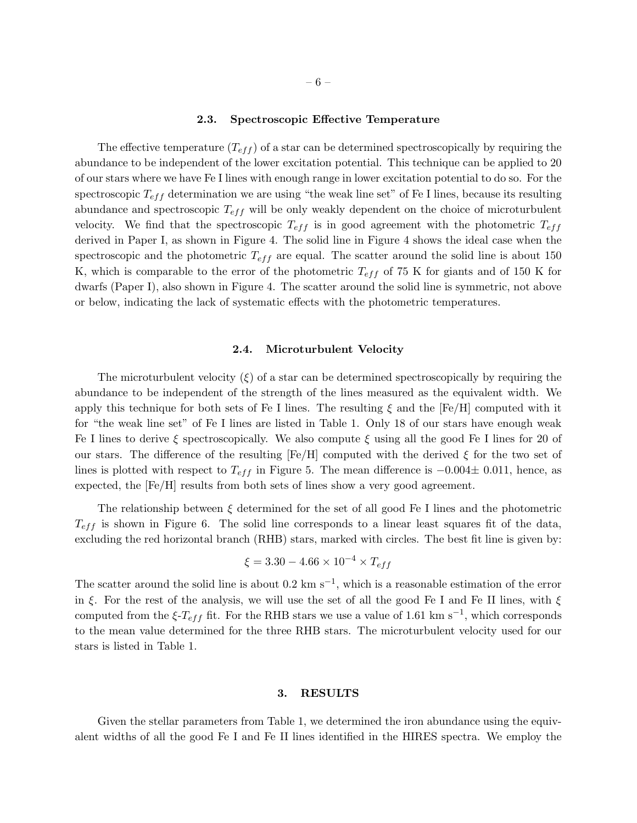#### 2.3. Spectroscopic Effective Temperature

The effective temperature  $(T_{eff})$  of a star can be determined spectroscopically by requiring the abundance to be independent of the lower excitation potential. This technique can be applied to 20 of our stars where we have Fe I lines with enough range in lower excitation potential to do so. For the spectroscopic  $T_{eff}$  determination we are using "the weak line set" of Fe I lines, because its resulting abundance and spectroscopic  $T_{eff}$  will be only weakly dependent on the choice of microturbulent velocity. We find that the spectroscopic  $T_{eff}$  is in good agreement with the photometric  $T_{eff}$ derived in Paper I, as shown in Figure 4. The solid line in Figure 4 shows the ideal case when the spectroscopic and the photometric  $T_{eff}$  are equal. The scatter around the solid line is about 150 K, which is comparable to the error of the photometric  $T_{eff}$  of 75 K for giants and of 150 K for dwarfs (Paper I), also shown in Figure 4. The scatter around the solid line is symmetric, not above or below, indicating the lack of systematic effects with the photometric temperatures.

# 2.4. Microturbulent Velocity

The microturbulent velocity  $(\xi)$  of a star can be determined spectroscopically by requiring the abundance to be independent of the strength of the lines measured as the equivalent width. We apply this technique for both sets of Fe I lines. The resulting  $\xi$  and the [Fe/H] computed with it for "the weak line set" of Fe I lines are listed in Table 1. Only 18 of our stars have enough weak Fe I lines to derive  $\xi$  spectroscopically. We also compute  $\xi$  using all the good Fe I lines for 20 of our stars. The difference of the resulting  $[Fe/H]$  computed with the derived  $\xi$  for the two set of lines is plotted with respect to  $T_{eff}$  in Figure 5. The mean difference is  $-0.004\pm 0.011$ , hence, as expected, the [Fe/H] results from both sets of lines show a very good agreement.

The relationship between  $\xi$  determined for the set of all good Fe I lines and the photometric  $T_{eff}$  is shown in Figure 6. The solid line corresponds to a linear least squares fit of the data, excluding the red horizontal branch (RHB) stars, marked with circles. The best fit line is given by:

$$
\xi = 3.30 - 4.66 \times 10^{-4} \times T_{eff}
$$

The scatter around the solid line is about 0.2 km s<sup>-1</sup>, which is a reasonable estimation of the error in  $\xi$ . For the rest of the analysis, we will use the set of all the good Fe I and Fe II lines, with  $\xi$ computed from the  $\xi$ - $T_{eff}$  fit. For the RHB stars we use a value of 1.61 km s<sup>-1</sup>, which corresponds to the mean value determined for the three RHB stars. The microturbulent velocity used for our stars is listed in Table 1.

## 3. RESULTS

Given the stellar parameters from Table 1, we determined the iron abundance using the equivalent widths of all the good Fe I and Fe II lines identified in the HIRES spectra. We employ the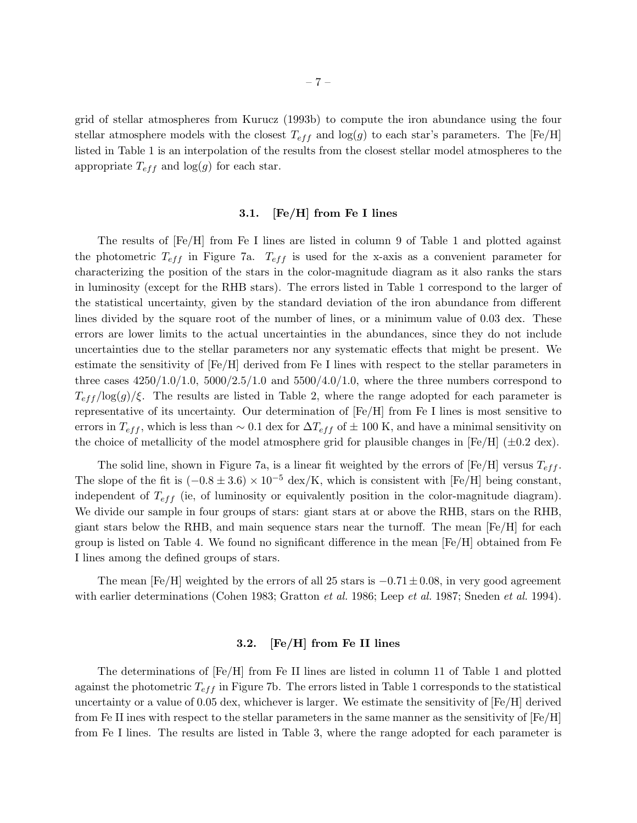grid of stellar atmospheres from Kurucz (1993b) to compute the iron abundance using the four stellar atmosphere models with the closest  $T_{eff}$  and log(g) to each star's parameters. The [Fe/H] listed in Table 1 is an interpolation of the results from the closest stellar model atmospheres to the appropriate  $T_{eff}$  and  $log(g)$  for each star.

## 3.1. [Fe/H] from Fe I lines

The results of [Fe/H] from Fe I lines are listed in column 9 of Table 1 and plotted against the photometric  $T_{eff}$  in Figure 7a.  $T_{eff}$  is used for the x-axis as a convenient parameter for characterizing the position of the stars in the color-magnitude diagram as it also ranks the stars in luminosity (except for the RHB stars). The errors listed in Table 1 correspond to the larger of the statistical uncertainty, given by the standard deviation of the iron abundance from different lines divided by the square root of the number of lines, or a minimum value of 0.03 dex. These errors are lower limits to the actual uncertainties in the abundances, since they do not include uncertainties due to the stellar parameters nor any systematic effects that might be present. We estimate the sensitivity of [Fe/H] derived from Fe I lines with respect to the stellar parameters in three cases  $4250/1.0/1.0$ ,  $5000/2.5/1.0$  and  $5500/4.0/1.0$ , where the three numbers correspond to  $T_{eff} / \log(g)/\xi$ . The results are listed in Table 2, where the range adopted for each parameter is representative of its uncertainty. Our determination of [Fe/H] from Fe I lines is most sensitive to errors in  $T_{eff}$ , which is less than ~ 0.1 dex for  $\Delta T_{eff}$  of  $\pm$  100 K, and have a minimal sensitivity on the choice of metallicity of the model atmosphere grid for plausible changes in  $[Fe/H]$  ( $\pm 0.2$  dex).

The solid line, shown in Figure 7a, is a linear fit weighted by the errors of  $[Fe/H]$  versus  $T_{eff}$ . The slope of the fit is  $(-0.8 \pm 3.6) \times 10^{-5}$  dex/K, which is consistent with [Fe/H] being constant, independent of  $T_{eff}$  (ie, of luminosity or equivalently position in the color-magnitude diagram). We divide our sample in four groups of stars: giant stars at or above the RHB, stars on the RHB, giant stars below the RHB, and main sequence stars near the turnoff. The mean  $[Fe/H]$  for each group is listed on Table 4. We found no significant difference in the mean  $[Fe/H]$  obtained from Fe I lines among the defined groups of stars.

The mean [Fe/H] weighted by the errors of all 25 stars is  $-0.71 \pm 0.08$ , in very good agreement with earlier determinations (Cohen 1983; Gratton *et al.* 1986; Leep *et al.* 1987; Sneden *et al.* 1994).

## 3.2. [Fe/H] from Fe II lines

The determinations of [Fe/H] from Fe II lines are listed in column 11 of Table 1 and plotted against the photometric  $T_{eff}$  in Figure 7b. The errors listed in Table 1 corresponds to the statistical uncertainty or a value of 0.05 dex, whichever is larger. We estimate the sensitivity of [Fe/H] derived from Fe II ines with respect to the stellar parameters in the same manner as the sensitivity of [Fe/H] from Fe I lines. The results are listed in Table 3, where the range adopted for each parameter is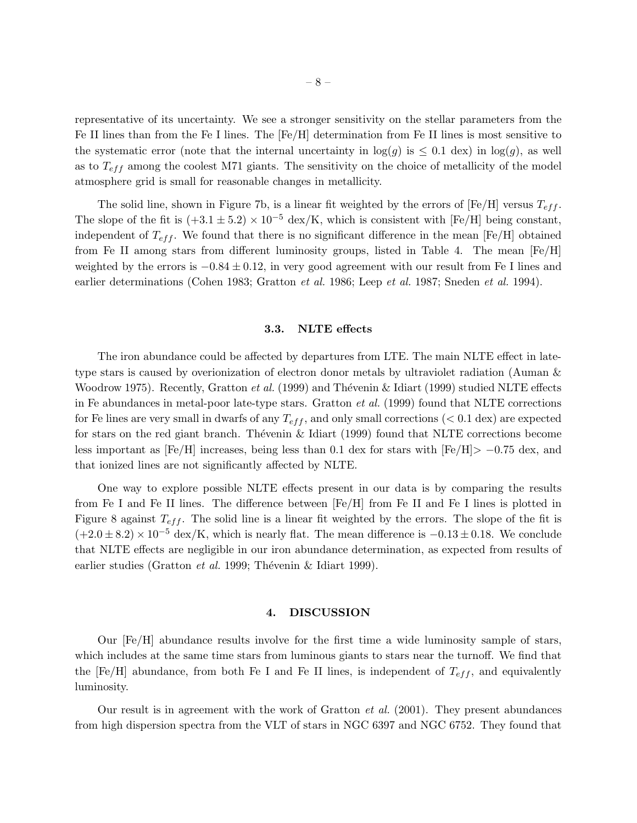representative of its uncertainty. We see a stronger sensitivity on the stellar parameters from the Fe II lines than from the Fe I lines. The [Fe/H] determination from Fe II lines is most sensitive to the systematic error (note that the internal uncertainty in  $log(g)$  is  $\leq 0.1$  dex) in  $log(g)$ , as well as to  $T_{eff}$  among the coolest M71 giants. The sensitivity on the choice of metallicity of the model atmosphere grid is small for reasonable changes in metallicity.

The solid line, shown in Figure 7b, is a linear fit weighted by the errors of  $[Fe/H]$  versus  $T_{eff}$ . The slope of the fit is  $(+3.1 \pm 5.2) \times 10^{-5}$  dex/K, which is consistent with [Fe/H] being constant, independent of  $T_{eff}$ . We found that there is no significant difference in the mean [Fe/H] obtained from Fe II among stars from different luminosity groups, listed in Table 4. The mean [Fe/H] weighted by the errors is  $-0.84 \pm 0.12$ , in very good agreement with our result from Fe I lines and earlier determinations (Cohen 1983; Gratton *et al.* 1986; Leep *et al.* 1987; Sneden *et al.* 1994).

### 3.3. NLTE effects

The iron abundance could be affected by departures from LTE. The main NLTE effect in latetype stars is caused by overionization of electron donor metals by ultraviolet radiation (Auman & Woodrow 1975). Recently, Gratton *et al.* (1999) and Thévenin & Idiart (1999) studied NLTE effects in Fe abundances in metal-poor late-type stars. Gratton *et al.* (1999) found that NLTE corrections for Fe lines are very small in dwarfs of any  $T_{eff}$ , and only small corrections ( $< 0.1$  dex) are expected for stars on the red giant branch. Theyenin  $\&$  Idiart (1999) found that NLTE corrections become less important as  $[Fe/H]$  increases, being less than 0.1 dex for stars with  $[Fe/H] > -0.75$  dex, and that ionized lines are not significantly affected by NLTE.

One way to explore possible NLTE effects present in our data is by comparing the results from Fe I and Fe II lines. The difference between [Fe/H] from Fe II and Fe I lines is plotted in Figure 8 against  $T_{eff}$ . The solid line is a linear fit weighted by the errors. The slope of the fit is  $(+2.0 \pm 8.2) \times 10^{-5}$  dex/K, which is nearly flat. The mean difference is  $-0.13 \pm 0.18$ . We conclude that NLTE effects are negligible in our iron abundance determination, as expected from results of earlier studies (Gratton *et al.* 1999; Thévenin & Idiart 1999).

## 4. DISCUSSION

Our [Fe/H] abundance results involve for the first time a wide luminosity sample of stars, which includes at the same time stars from luminous giants to stars near the turnoff. We find that the [Fe/H] abundance, from both Fe I and Fe II lines, is independent of  $T_{eff}$ , and equivalently luminosity.

Our result is in agreement with the work of Gratton *et al.* (2001). They present abundances from high dispersion spectra from the VLT of stars in NGC 6397 and NGC 6752. They found that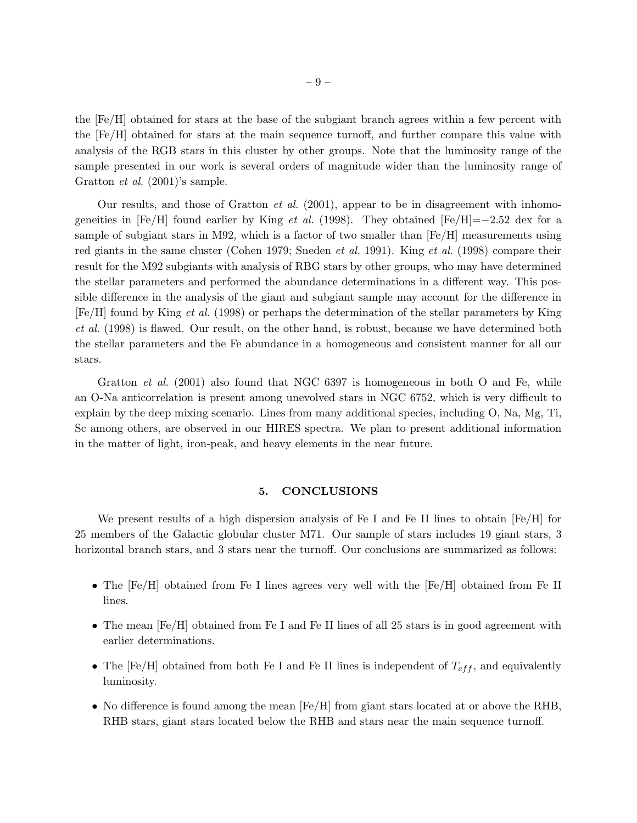the [Fe/H] obtained for stars at the base of the subgiant branch agrees within a few percent with the [Fe/H] obtained for stars at the main sequence turnoff, and further compare this value with analysis of the RGB stars in this cluster by other groups. Note that the luminosity range of the sample presented in our work is several orders of magnitude wider than the luminosity range of Gratton *et al.* (2001)'s sample.

Our results, and those of Gratton *et al.* (2001), appear to be in disagreement with inhomogeneities in  $[Fe/H]$  found earlier by King *et al.* (1998). They obtained  $[Fe/H]=-2.52$  dex for a sample of subgiant stars in M92, which is a factor of two smaller than  $[Fe/H]$  measurements using red giants in the same cluster (Cohen 1979; Sneden *et al.* 1991). King *et al.* (1998) compare their result for the M92 subgiants with analysis of RBG stars by other groups, who may have determined the stellar parameters and performed the abundance determinations in a different way. This possible difference in the analysis of the giant and subgiant sample may account for the difference in [Fe/H] found by King *et al.* (1998) or perhaps the determination of the stellar parameters by King *et al.* (1998) is flawed. Our result, on the other hand, is robust, because we have determined both the stellar parameters and the Fe abundance in a homogeneous and consistent manner for all our stars.

Gratton *et al.* (2001) also found that NGC 6397 is homogeneous in both O and Fe, while an O-Na anticorrelation is present among unevolved stars in NGC 6752, which is very difficult to explain by the deep mixing scenario. Lines from many additional species, including O, Na, Mg, Ti, Sc among others, are observed in our HIRES spectra. We plan to present additional information in the matter of light, iron-peak, and heavy elements in the near future.

## 5. CONCLUSIONS

We present results of a high dispersion analysis of Fe I and Fe II lines to obtain  $[Fe/H]$  for 25 members of the Galactic globular cluster M71. Our sample of stars includes 19 giant stars, 3 horizontal branch stars, and 3 stars near the turnoff. Our conclusions are summarized as follows:

- The [Fe/H] obtained from Fe I lines agrees very well with the [Fe/H] obtained from Fe II lines.
- The mean  $[Fe/H]$  obtained from Fe I and Fe II lines of all 25 stars is in good agreement with earlier determinations.
- The [Fe/H] obtained from both Fe I and Fe II lines is independent of  $T_{eff}$ , and equivalently luminosity.
- No difference is found among the mean  $[Fe/H]$  from giant stars located at or above the RHB, RHB stars, giant stars located below the RHB and stars near the main sequence turnoff.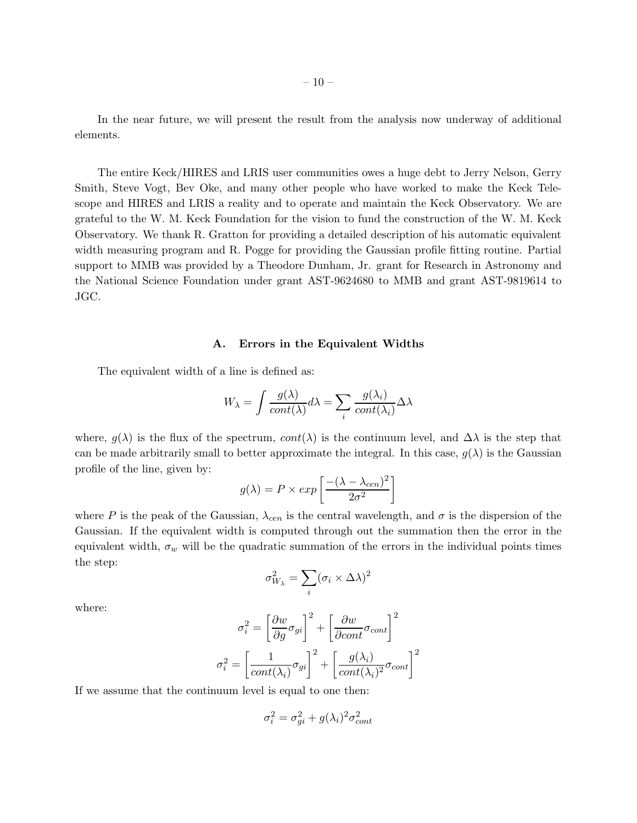In the near future, we will present the result from the analysis now underway of additional elements.

The entire Keck/HIRES and LRIS user communities owes a huge debt to Jerry Nelson, Gerry Smith, Steve Vogt, Bev Oke, and many other people who have worked to make the Keck Telescope and HIRES and LRIS a reality and to operate and maintain the Keck Observatory. We are grateful to the W. M. Keck Foundation for the vision to fund the construction of the W. M. Keck Observatory. We thank R. Gratton for providing a detailed description of his automatic equivalent width measuring program and R. Pogge for providing the Gaussian profile fitting routine. Partial support to MMB was provided by a Theodore Dunham, Jr. grant for Research in Astronomy and the National Science Foundation under grant AST-9624680 to MMB and grant AST-9819614 to JGC.

### A. Errors in the Equivalent Widths

The equivalent width of a line is defined as:

$$
W_{\lambda} = \int \frac{g(\lambda)}{cont(\lambda)} d\lambda = \sum_{i} \frac{g(\lambda_{i})}{cont(\lambda_{i})} \Delta \lambda
$$

where,  $g(\lambda)$  is the flux of the spectrum,  $cont(\lambda)$  is the continuum level, and  $\Delta\lambda$  is the step that can be made arbitrarily small to better approximate the integral. In this case,  $g(\lambda)$  is the Gaussian profile of the line, given by:

$$
g(\lambda) = P \times exp\left[\frac{-(\lambda - \lambda_{cen})^2}{2\sigma^2}\right]
$$

where P is the peak of the Gaussian,  $\lambda_{cen}$  is the central wavelength, and  $\sigma$  is the dispersion of the Gaussian. If the equivalent width is computed through out the summation then the error in the equivalent width,  $\sigma_w$  will be the quadratic summation of the errors in the individual points times the step:

$$
\sigma_{W_\lambda}^2 = \sum_i (\sigma_i \times \Delta \lambda)^2
$$

where:

$$
\sigma_i^2 = \left[\frac{\partial w}{\partial g}\sigma_{gi}\right]^2 + \left[\frac{\partial w}{\partial cont}\sigma_{cont}\right]^2
$$

$$
\sigma_i^2 = \left[\frac{1}{cont(\lambda_i)}\sigma_{gi}\right]^2 + \left[\frac{g(\lambda_i)}{cont(\lambda_i)^2}\sigma_{cont}\right]^2
$$

If we assume that the continuum level is equal to one then:

$$
\sigma_i^2 = \sigma_{gi}^2 + g(\lambda_i)^2 \sigma_{cont}^2
$$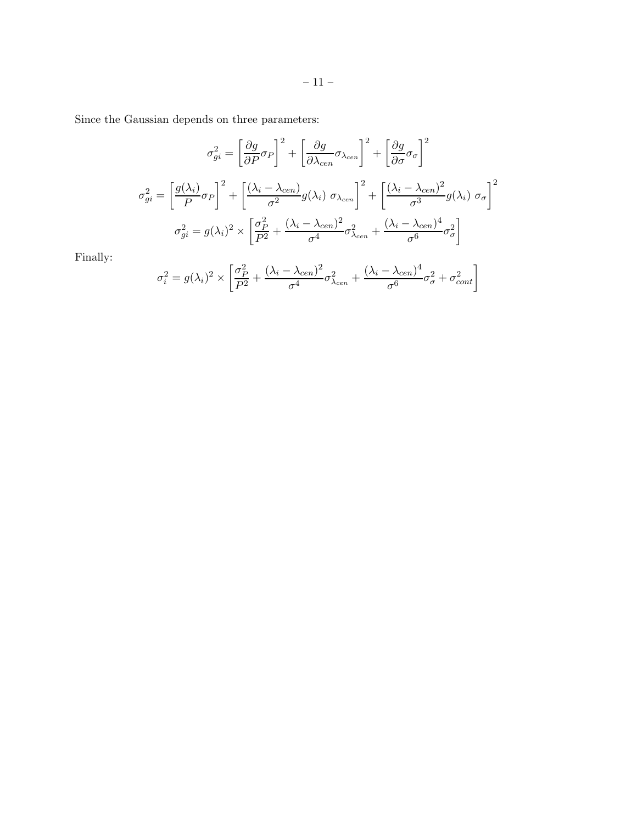Since the Gaussian depends on three parameters:

$$
\sigma_{gi}^2 = \left[\frac{\partial g}{\partial P}\sigma_P\right]^2 + \left[\frac{\partial g}{\partial \lambda_{cen}}\sigma_{\lambda_{cen}}\right]^2 + \left[\frac{\partial g}{\partial \sigma}\sigma_{\sigma}\right]^2
$$

$$
\sigma_{gi}^2 = \left[\frac{g(\lambda_i)}{P}\sigma_P\right]^2 + \left[\frac{(\lambda_i - \lambda_{cen})}{\sigma^2}g(\lambda_i)\sigma_{\lambda_{cen}}\right]^2 + \left[\frac{(\lambda_i - \lambda_{cen})^2}{\sigma^3}g(\lambda_i)\sigma_{\sigma}\right]^2
$$

$$
\sigma_{gi}^2 = g(\lambda_i)^2 \times \left[\frac{\sigma_P^2}{P^2} + \frac{(\lambda_i - \lambda_{cen})^2}{\sigma^4}\sigma_{\lambda_{cen}}^2 + \frac{(\lambda_i - \lambda_{cen})^4}{\sigma^6}\sigma_{\sigma}^2\right]
$$

Finally:

$$
\sigma_i^2 = g(\lambda_i)^2 \times \left[ \frac{\sigma_P^2}{P^2} + \frac{(\lambda_i - \lambda_{cen})^2}{\sigma^4} \sigma_{\lambda_{cen}}^2 + \frac{(\lambda_i - \lambda_{cen})^4}{\sigma^6} \sigma_{\sigma}^2 + \sigma_{cont}^2 \right]
$$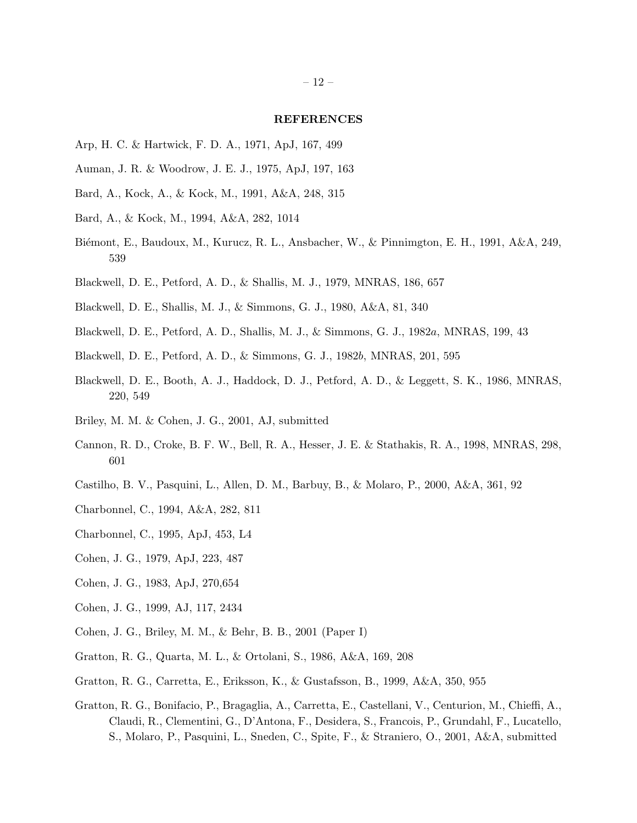### REFERENCES

- Arp, H. C. & Hartwick, F. D. A., 1971, ApJ, 167, 499
- Auman, J. R. & Woodrow, J. E. J., 1975, ApJ, 197, 163
- Bard, A., Kock, A., & Kock, M., 1991, A&A, 248, 315
- Bard, A., & Kock, M., 1994, A&A, 282, 1014
- Biémont, E., Baudoux, M., Kurucz, R. L., Ansbacher, W., & Pinnimgton, E. H., 1991, A&A, 249, 539
- Blackwell, D. E., Petford, A. D., & Shallis, M. J., 1979, MNRAS, 186, 657
- Blackwell, D. E., Shallis, M. J., & Simmons, G. J., 1980, A&A, 81, 340
- Blackwell, D. E., Petford, A. D., Shallis, M. J., & Simmons, G. J., 1982a, MNRAS, 199, 43
- Blackwell, D. E., Petford, A. D., & Simmons, G. J., 1982b, MNRAS, 201, 595
- Blackwell, D. E., Booth, A. J., Haddock, D. J., Petford, A. D., & Leggett, S. K., 1986, MNRAS, 220, 549
- Briley, M. M. & Cohen, J. G., 2001, AJ, submitted
- Cannon, R. D., Croke, B. F. W., Bell, R. A., Hesser, J. E. & Stathakis, R. A., 1998, MNRAS, 298, 601
- Castilho, B. V., Pasquini, L., Allen, D. M., Barbuy, B., & Molaro, P., 2000, A&A, 361, 92
- Charbonnel, C., 1994, A&A, 282, 811
- Charbonnel, C., 1995, ApJ, 453, L4
- Cohen, J. G., 1979, ApJ, 223, 487
- Cohen, J. G., 1983, ApJ, 270,654
- Cohen, J. G., 1999, AJ, 117, 2434
- Cohen, J. G., Briley, M. M., & Behr, B. B., 2001 (Paper I)
- Gratton, R. G., Quarta, M. L., & Ortolani, S., 1986, A&A, 169, 208
- Gratton, R. G., Carretta, E., Eriksson, K., & Gustafsson, B., 1999, A&A, 350, 955
- Gratton, R. G., Bonifacio, P., Bragaglia, A., Carretta, E., Castellani, V., Centurion, M., Chieffi, A., Claudi, R., Clementini, G., D'Antona, F., Desidera, S., Francois, P., Grundahl, F., Lucatello, S., Molaro, P., Pasquini, L., Sneden, C., Spite, F., & Straniero, O., 2001, A&A, submitted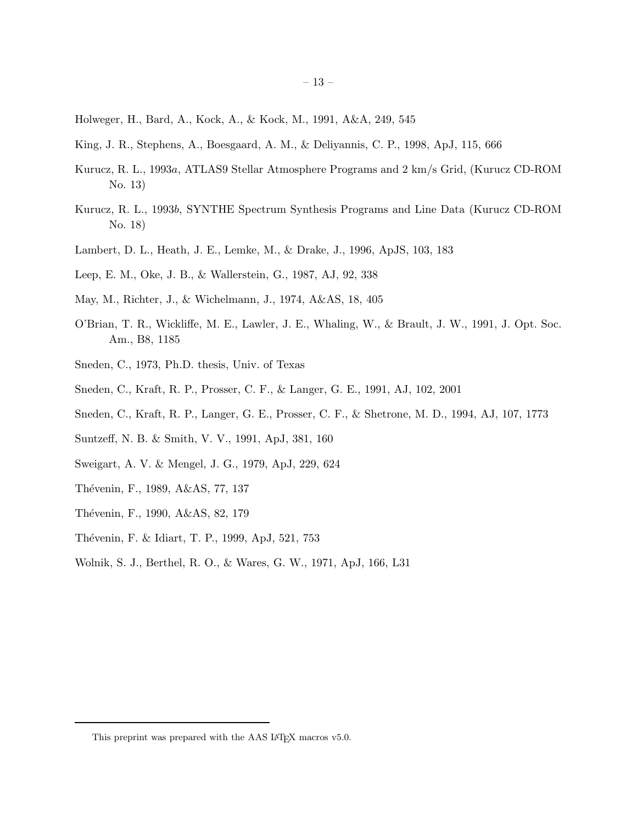- King, J. R., Stephens, A., Boesgaard, A. M., & Deliyannis, C. P., 1998, ApJ, 115, 666
- Kurucz, R. L., 1993a, ATLAS9 Stellar Atmosphere Programs and 2 km/s Grid, (Kurucz CD-ROM No. 13)
- Kurucz, R. L., 1993b, SYNTHE Spectrum Synthesis Programs and Line Data (Kurucz CD-ROM No. 18)
- Lambert, D. L., Heath, J. E., Lemke, M., & Drake, J., 1996, ApJS, 103, 183
- Leep, E. M., Oke, J. B., & Wallerstein, G., 1987, AJ, 92, 338
- May, M., Richter, J., & Wichelmann, J., 1974, A&AS, 18, 405
- O'Brian, T. R., Wickliffe, M. E., Lawler, J. E., Whaling, W., & Brault, J. W., 1991, J. Opt. Soc. Am., B8, 1185
- Sneden, C., 1973, Ph.D. thesis, Univ. of Texas
- Sneden, C., Kraft, R. P., Prosser, C. F., & Langer, G. E., 1991, AJ, 102, 2001
- Sneden, C., Kraft, R. P., Langer, G. E., Prosser, C. F., & Shetrone, M. D., 1994, AJ, 107, 1773
- Suntzeff, N. B. & Smith, V. V., 1991, ApJ, 381, 160
- Sweigart, A. V. & Mengel, J. G., 1979, ApJ, 229, 624
- Thévenin, F., 1989, A&AS, 77, 137
- Thévenin, F., 1990, A&AS, 82, 179
- Thévenin, F. & Idiart, T. P., 1999, ApJ, 521, 753
- Wolnik, S. J., Berthel, R. O., & Wares, G. W., 1971, ApJ, 166, L31

This preprint was prepared with the AAS IATEX macros v5.0.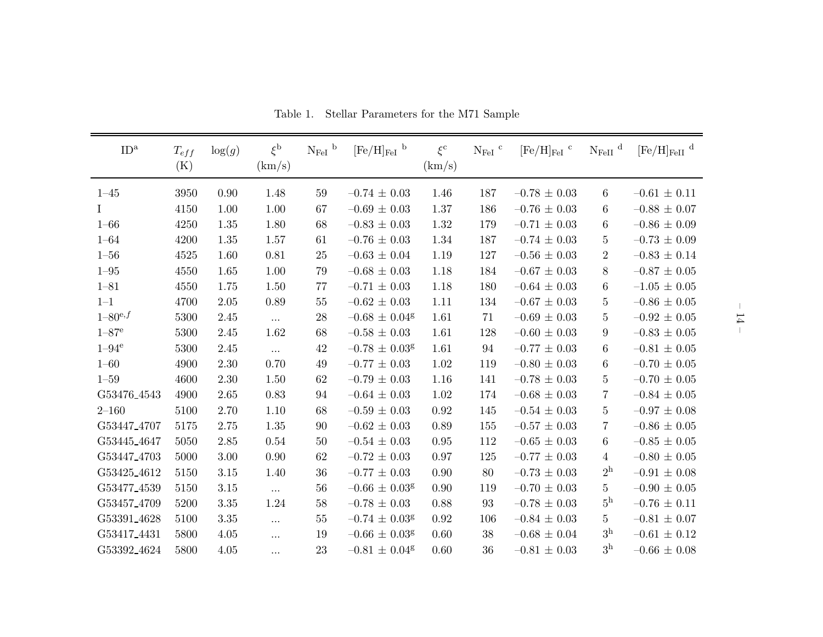| ID <sup>a</sup>       | $T_{eff}$<br>(K) | $\log(g)$ | $\xi^{\rm b}$<br>(km/s) | $N_{\rm{FeI}}$ b | $[\mathrm{Fe}/\mathrm{H}]_{\mathrm{FeI}}$ $^{\mathrm{b}}$ | $\xi^{\rm c}$<br>(km/s) | $\rm N_{FeI}$ $^{\rm c}$ | $[Fe/H]_{FeI}$ <sup>c</sup> | $N_{\rm FeII}$ <sup>d</sup> | $[\mathrm{Fe}/\mathrm{H}]_{\mathrm{FeII}}$ $^{\mathrm{d}}$ |
|-----------------------|------------------|-----------|-------------------------|------------------|-----------------------------------------------------------|-------------------------|--------------------------|-----------------------------|-----------------------------|------------------------------------------------------------|
| $1 - 45$              | 3950             | 0.90      | 1.48                    | 59               | $-0.74 \pm 0.03$                                          | 1.46                    | 187                      | $-0.78 \pm 0.03$            | 6                           | $-0.61 \pm 0.11$                                           |
| $\mathbf I$           | 4150             | 1.00      | 1.00                    | 67               | $-0.69 \pm 0.03$                                          | 1.37                    | 186                      | $-0.76 \pm 0.03$            | 6                           | $-0.88 \pm 0.07$                                           |
| $1 - 66$              | 4250             | 1.35      | 1.80                    | 68               | $-0.83 \pm 0.03$                                          | 1.32                    | 179                      | $-0.71 \pm 0.03$            | 6                           | $-0.86 \pm 0.09$                                           |
| $1 - 64$              | 4200             | 1.35      | 1.57                    | 61               | $-0.76 \pm 0.03$                                          | 1.34                    | 187                      | $-0.74 \pm 0.03$            | $\overline{5}$              | $-0.73 \pm 0.09$                                           |
| $1 - 56$              | 4525             | 1.60      | 0.81                    | 25               | $-0.63\,\pm\,0.04$                                        | 1.19                    | 127                      | $-0.56 \pm 0.03$            | $\overline{2}$              | $-0.83 \pm 0.14$                                           |
| $1 - 95$              | 4550             | 1.65      | 1.00                    | 79               | $-0.68 \pm 0.03$                                          | 1.18                    | 184                      | $-0.67 \pm 0.03$            | 8                           | $-0.87 \pm 0.05$                                           |
| $1 - 81$              | 4550             | 1.75      | 1.50                    | 77               | $-0.71 \pm 0.03$                                          | 1.18                    | 180                      | $-0.64\,\pm\,0.03$          | 6                           | $-1.05 \pm 0.05$                                           |
| $1 - 1$               | 4700             | 2.05      | 0.89                    | 55               | $-0.62\,\pm\,0.03$                                        | 1.11                    | 134                      | $-0.67\,\pm\,0.03$          | $\overline{5}$              | $-0.86 \pm 0.05$                                           |
| $1 - 80^{e,f}$        | 5300             | 2.45      | $\cdots$                | $28\,$           | $-0.68 \pm 0.04$ <sup>g</sup>                             | 1.61                    | 71                       | $-0.69\,\pm\,0.03$          | 5                           | $-0.92\,\pm\,0.05$                                         |
| $1 - 87$ <sup>e</sup> | 5300             | 2.45      | 1.62                    | 68               | $-0.58 \pm 0.03$                                          | 1.61                    | 128                      | $-0.60 \pm 0.03$            | $9\phantom{.0}$             | $-0.83 \pm 0.05$                                           |
| $1-94^\mathrm{e}$     | 5300             | 2.45      | $\cdots$                | 42               | $-0.78 \pm 0.03$ <sup>g</sup>                             | 1.61                    | 94                       | $-0.77 \pm 0.03$            | 6                           | $-0.81 \pm 0.05$                                           |
| $1 - 60$              | 4900             | 2.30      | 0.70                    | 49               | $-0.77 \pm 0.03$                                          | 1.02                    | 119                      | $-0.80 \pm 0.03$            | 6                           | $-0.70 \pm 0.05$                                           |
| $1 - 59$              | 4600             | 2.30      | 1.50                    | 62               | $-0.79 \pm 0.03$                                          | 1.16                    | 141                      | $-0.78 \pm 0.03$            | $\overline{5}$              | $-0.70 \pm 0.05$                                           |
| G53476_4543           | 4900             | 2.65      | 0.83                    | 94               | $-0.64 \pm 0.03$                                          | $1.02\,$                | 174                      | $-0.68 \pm 0.03$            | $\overline{7}$              | $-0.84 \pm 0.05$                                           |
| $2 - 160$             | 5100             | 2.70      | 1.10                    | 68               | $-0.59 \pm 0.03$                                          | 0.92                    | 145                      | $-0.54 \pm 0.03$            | $\overline{5}$              | $-0.97 \pm 0.08$                                           |
| G53447_4707           | 5175             | 2.75      | 1.35                    | 90               | $-0.62 \pm 0.03$                                          | 0.89                    | 155                      | $-0.57 \pm 0.03$            | $\overline{7}$              | $-0.86 \pm 0.05$                                           |
| G53445_4647           | 5050             | 2.85      | 0.54                    | 50               | $-0.54 \pm 0.03$                                          | $0.95\,$                | 112                      | $-0.65 \pm 0.03$            | 6                           | $-0.85 \pm 0.05$                                           |
| G53447_4703           | 5000             | 3.00      | 0.90                    | 62               | $-0.72 \pm 0.03$                                          | 0.97                    | 125                      | $-0.77 \pm 0.03$            | $\overline{4}$              | $-0.80 \pm 0.05$                                           |
| G53425_4612           | 5150             | 3.15      | 1.40                    | 36               | $-0.77 \pm 0.03$                                          | 0.90                    | 80                       | $-0.73 \pm 0.03$            | 2 <sup>h</sup>              | $-0.91 \pm 0.08$                                           |
| G53477_4539           | 5150             | 3.15      | $\cdots$                | 56               | $-0.66 \pm 0.03$ <sup>g</sup>                             | 0.90                    | 119                      | $-0.70 \pm 0.03$            | $5\phantom{.0}$             | $-0.90 \pm 0.05$                                           |
| G53457_4709           | 5200             | 3.35      | 1.24                    | 58               | $-0.78 \pm 0.03$                                          | 0.88                    | 93                       | $-0.78 \pm 0.03$            | 5 <sup>h</sup>              | $-0.76 \pm 0.11$                                           |
| G53391_4628           | 5100             | $3.35\,$  | $\ddots$                | $55\,$           | $-0.74 \pm 0.03$ <sup>g</sup>                             | 0.92                    | 106                      | $-0.84 \pm 0.03$            | 5                           | $-0.81 \pm 0.07$                                           |
| G53417_4431           | 5800             | 4.05      | $\cdots$                | 19               | $-0.66 \pm 0.03$ <sup>g</sup>                             | 0.60                    | 38                       | $-0.68\,\pm\,0.04$          | 3 <sup>h</sup>              | $-0.61 \pm 0.12$                                           |
| G53392_4624           | 5800             | 4.05      | $\cdots$                | 23               | $-0.81 \pm 0.04$ <sup>g</sup>                             | 0.60                    | 36                       | $-0.81\,\pm\,0.03$          | 3 <sup>h</sup>              | $-0.66 \pm 0.08$                                           |

Table 1. Stellar Parameters for the M71 Sample

 $-14 -$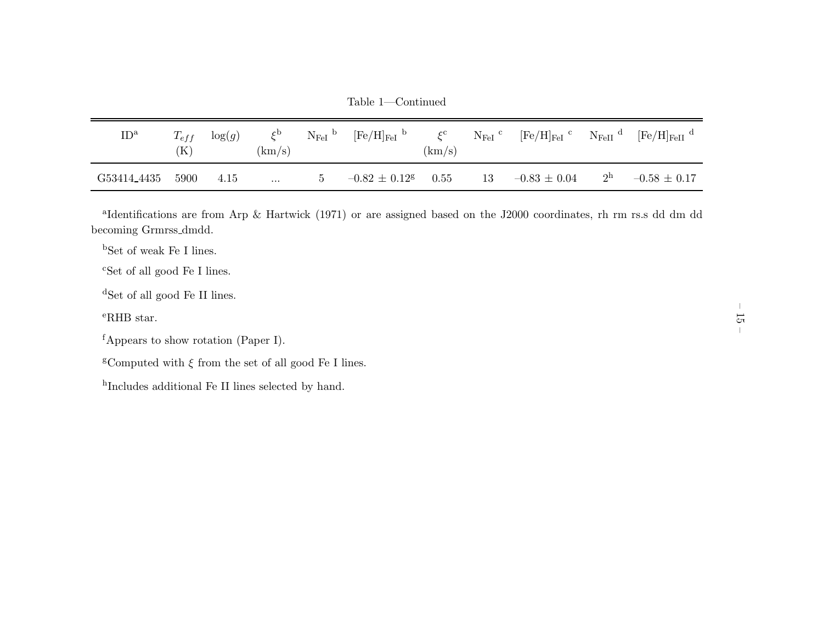Table 1—Continued

| ID <sup>a</sup> | $T_{eff}$<br>`K` | $\log(g)$ | $\zeta$<br>(km/s) | ${\rm N_{Fe I}}$ <sup>b</sup> | $[Fe/H]_{FeI}$ <sup>b</sup>   | $\zeta^{\rm c}$<br>(km/s) |    | $N_{\rm FeI}$ <sup>c</sup> [Fe/H] <sub>FeI</sub> <sup>c</sup> N <sub>FeII</sub> <sup>d</sup> |                | $[Fe/H]_{FeII}$ <sup>d</sup> |
|-----------------|------------------|-----------|-------------------|-------------------------------|-------------------------------|---------------------------|----|----------------------------------------------------------------------------------------------|----------------|------------------------------|
| G53414_4435     | 5900             | 4.15      | $\cdots$          | $\mathbf{G}$                  | $-0.82 \pm 0.12$ <sup>g</sup> | 0.55                      | 13 | $-0.83 \,\pm\, 0.04$                                                                         | 2 <sup>h</sup> | $-0.58 \pm 0.17$             |

<sup>a</sup>Identifications are from Arp & Hartwick (1971) or are assigned based on the J2000 coordinates, rh rm rs.s dd dm dd becoming Grmrss dmdd.

<sup>b</sup>Set of weak Fe <sup>I</sup> lines.

<sup>c</sup>Set of all good Fe <sup>I</sup> lines.

<sup>d</sup>Set of all good Fe II lines.

<sup>e</sup>RHB star.

<sup>g</sup>Computed with  $\xi$  from the set of all good Fe I lines.

hIncludes additional Fe II lines selected by hand.

<sup>f</sup>Appears to show rotation (Paper I).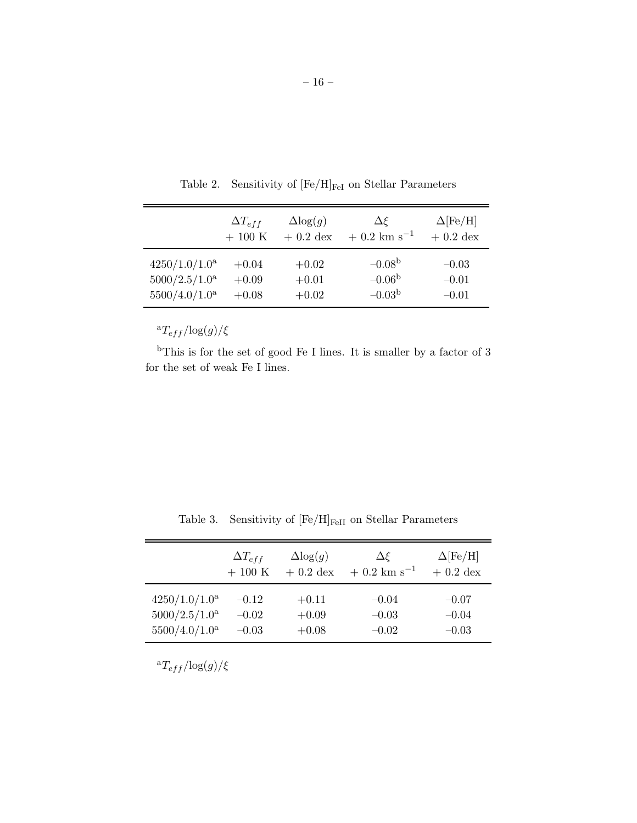|                           | $\Delta T_{eff}$ | $\Delta$ log $(g)$ | $\Delta \xi$              | $\Delta$ [Fe/H] |
|---------------------------|------------------|--------------------|---------------------------|-----------------|
|                           | $+100$ K         | $+0.2$ dex         | $+0.2$ km s <sup>-1</sup> | $+0.2$ dex      |
| 4250/1.0/1.0 <sup>a</sup> | $+0.04$          | $+0.02$            | $-0.08b$                  | $-0.03$         |
| 5000/2.5/1.0 <sup>a</sup> | $+0.09$          | $+0.01$            | $-0.06b$                  | $-0.01$         |
| 5500/4.0/1.0 <sup>a</sup> | $+0.08$          | $+0.02$            | $-0.03b$                  | $-0.01$         |

Table 2. Sensitivity of  $[\rm{Fe/H}]_{\rm{FeI}}$  on Stellar Parameters

 ${}^{\mathrm{a}}T_{eff}/\mathrm{log}(g)/\xi$ 

 $b$ This is for the set of good Fe I lines. It is smaller by a factor of 3 for the set of weak Fe I lines.

|                           | $\Delta T_{eff}$ | $\Delta$ log $(g)$ | $\Delta \xi$              | $\Delta$ [Fe/H] |
|---------------------------|------------------|--------------------|---------------------------|-----------------|
|                           | $+100$ K         | $+0.2$ dex         | $+0.2$ km s <sup>-1</sup> | $+0.2$ dex      |
| 4250/1.0/1.0 <sup>a</sup> | $-0.12$          | $+0.11$            | $-0.04$                   | $-0.07$         |
| 5000/2.5/1.0 <sup>a</sup> | $-0.02$          | $+0.09$            | $-0.03$                   | $-0.04$         |
| 5500/4.0/1.0 <sup>a</sup> | $-0.03$          | $+0.08$            | $-0.02$                   | $-0.03$         |

Table 3. Sensitivity of  $[\rm Fe/H]_{FeII}$  on Stellar Parameters

 ${}^{\mathrm{a}}T_{eff}/\mathrm{log}(g)/\xi$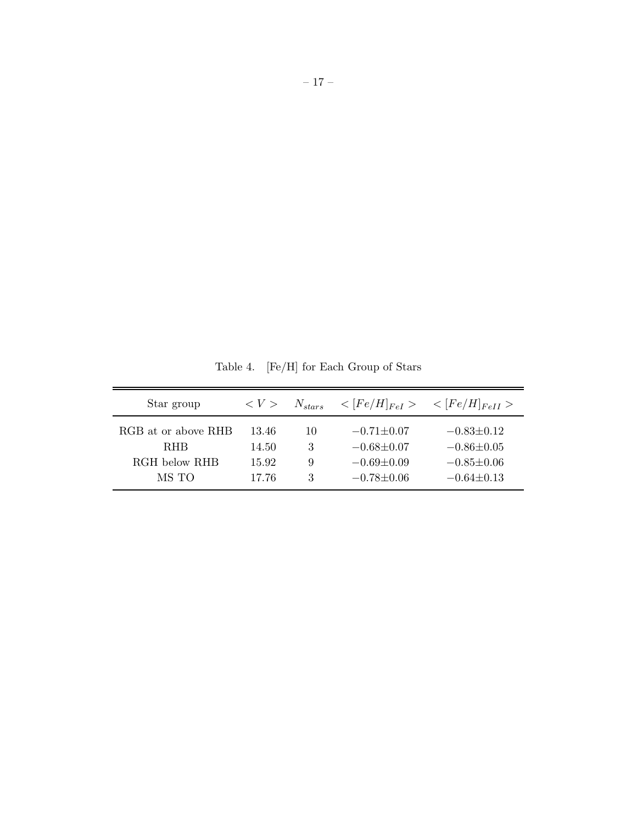Table 4. [Fe/H] for Each Group of Stars

| Star group          | $\langle V \rangle$ | $N_{stars}$ |                  | $\langle [Fe/H]_{FeI} \rangle$ $\langle [Fe/H]_{FeII} \rangle$ |
|---------------------|---------------------|-------------|------------------|----------------------------------------------------------------|
| RGB at or above RHB | 13.46               | 10          | $-0.71 \pm 0.07$ | $-0.83\pm0.12$                                                 |
| <b>RHB</b>          | 14.50               | 3           | $-0.68 \pm 0.07$ | $-0.86 \pm 0.05$                                               |
| RGH below RHB       | 15.92               | 9           | $-0.69 \pm 0.09$ | $-0.85 \pm 0.06$                                               |
| MS TO               | 17.76               | 3           | $-0.78 + 0.06$   | $-0.64\pm0.13$                                                 |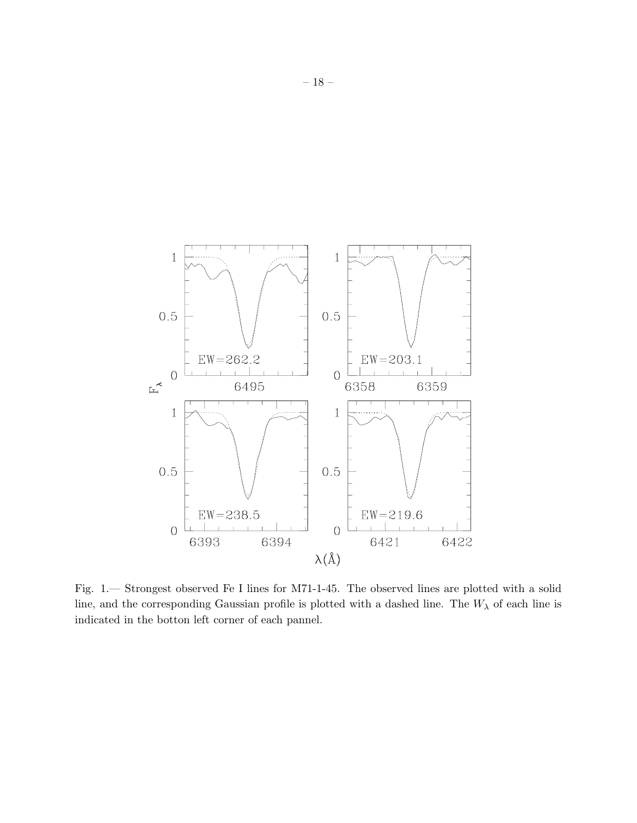

Fig. 1.— Strongest observed Fe I lines for M71-1-45. The observed lines are plotted with a solid line, and the corresponding Gaussian profile is plotted with a dashed line. The  $W_{\lambda}$  of each line is indicated in the botton left corner of each pannel.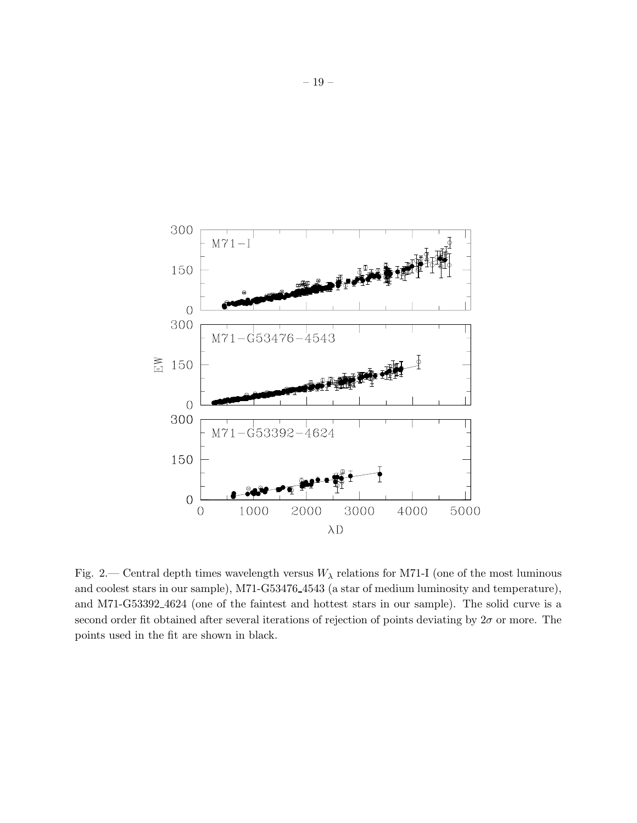

Fig. 2.— Central depth times wavelength versus  $W_{\lambda}$  relations for M71-I (one of the most luminous and coolest stars in our sample), M71-G53476 4543 (a star of medium luminosity and temperature), and M71-G53392 4624 (one of the faintest and hottest stars in our sample). The solid curve is a second order fit obtained after several iterations of rejection of points deviating by  $2\sigma$  or more. The points used in the fit are shown in black.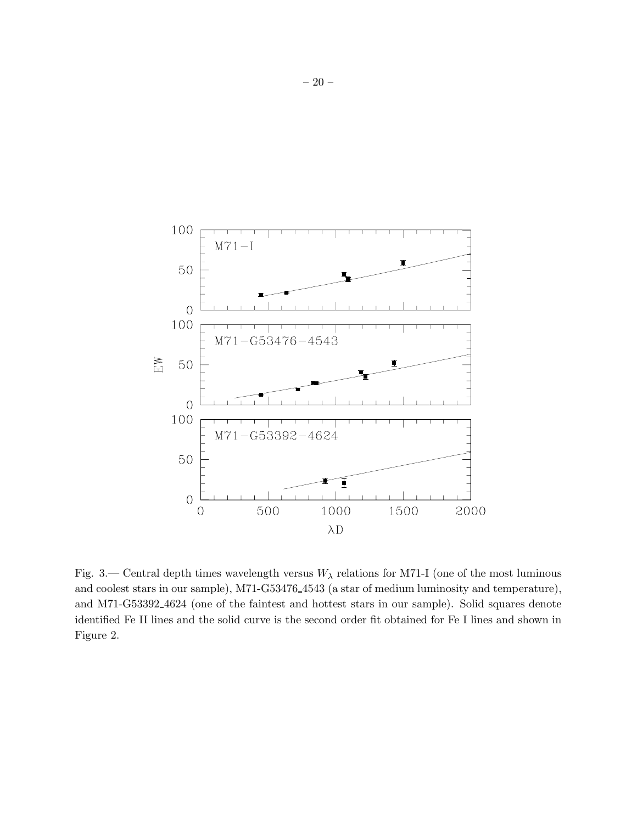

Fig. 3.— Central depth times wavelength versus  $W_{\lambda}$  relations for M71-I (one of the most luminous and coolest stars in our sample), M71-G53476 4543 (a star of medium luminosity and temperature), and M71-G53392 4624 (one of the faintest and hottest stars in our sample). Solid squares denote identified Fe II lines and the solid curve is the second order fit obtained for Fe I lines and shown in Figure 2.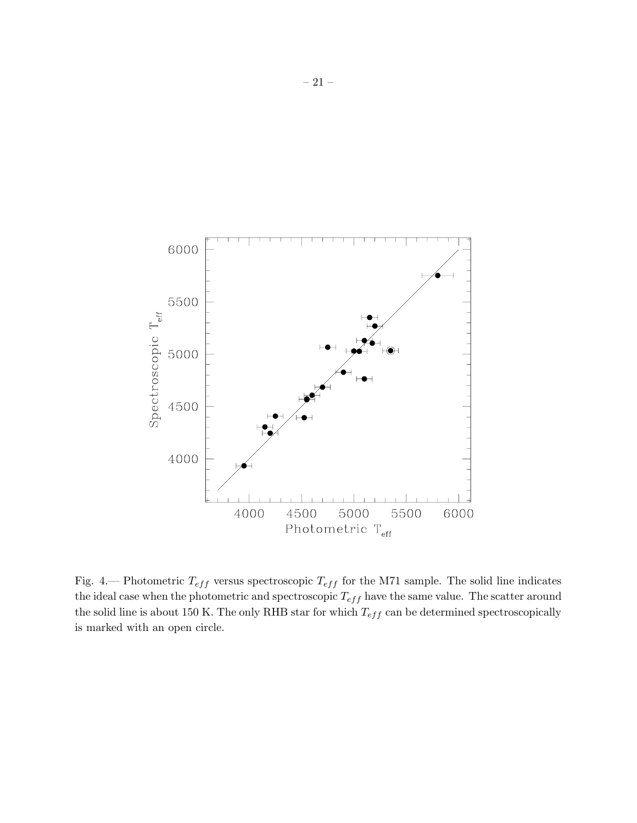

Fig. 4.— Photometric  $T_{eff}$  versus spectroscopic  $T_{eff}$  for the M71 sample. The solid line indicates the ideal case when the photometric and spectroscopic  $T_{eff}$  have the same value. The scatter around the solid line is about 150 K. The only RHB star for which  $T_{eff}$  can be determined spectroscopically is marked with an open circle.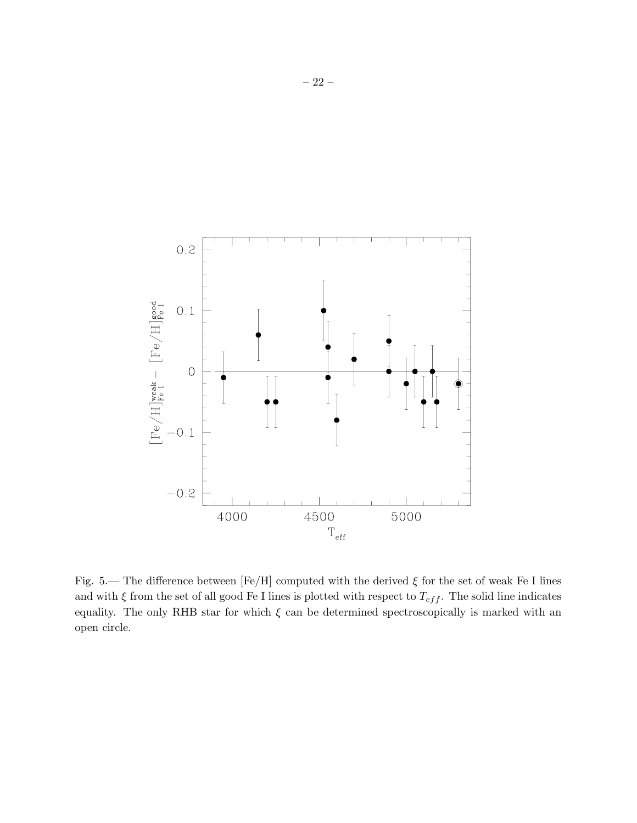

Fig. 5.— The difference between [Fe/H] computed with the derived  $\xi$  for the set of weak Fe I lines and with  $\xi$  from the set of all good Fe I lines is plotted with respect to  $T_{eff}$ . The solid line indicates equality. The only RHB star for which  $\xi$  can be determined spectroscopically is marked with an open circle.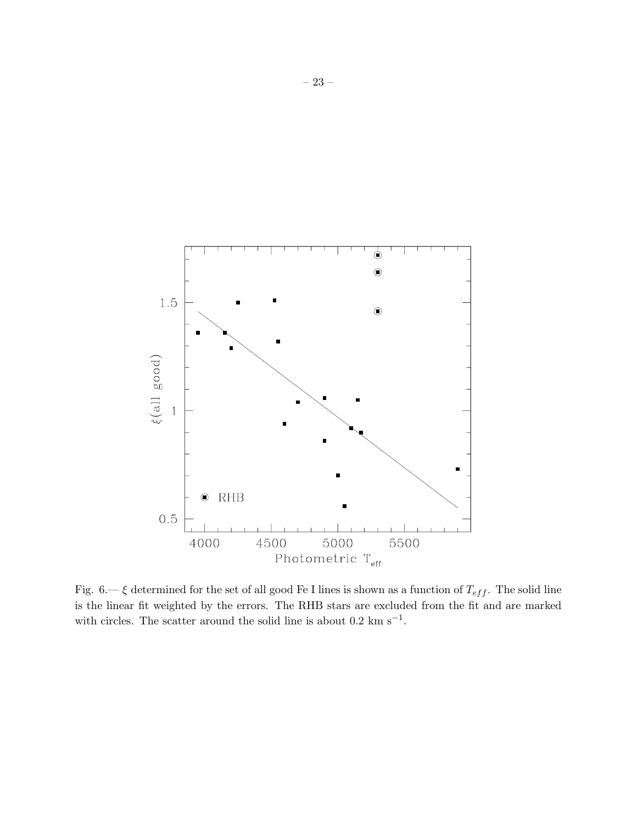

Fig. 6.—  $\xi$  determined for the set of all good Fe I lines is shown as a function of  $T_{eff}$ . The solid line is the linear fit weighted by the errors. The RHB stars are excluded from the fit and are marked with circles. The scatter around the solid line is about  $0.2 \text{ km s}^{-1}$ .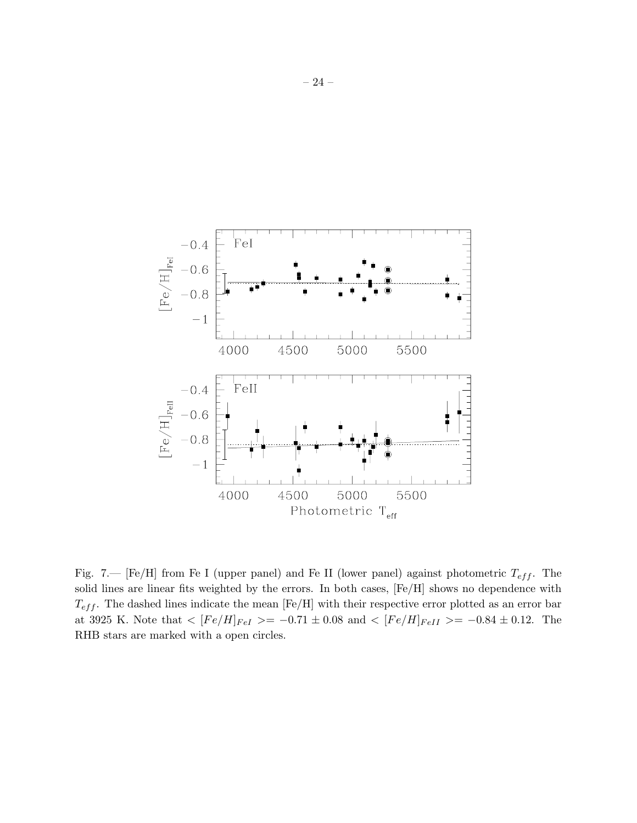

Fig. 7.— [Fe/H] from Fe I (upper panel) and Fe II (lower panel) against photometric  $T_{eff}$ . The solid lines are linear fits weighted by the errors. In both cases, [Fe/H] shows no dependence with  $T_{eff}$ . The dashed lines indicate the mean [Fe/H] with their respective error plotted as an error bar at 3925 K. Note that  $\langle [Fe/H]_{FeI} \rangle = -0.71 \pm 0.08$  and  $\langle [Fe/H]_{FeII} \rangle = -0.84 \pm 0.12$ . The RHB stars are marked with a open circles.